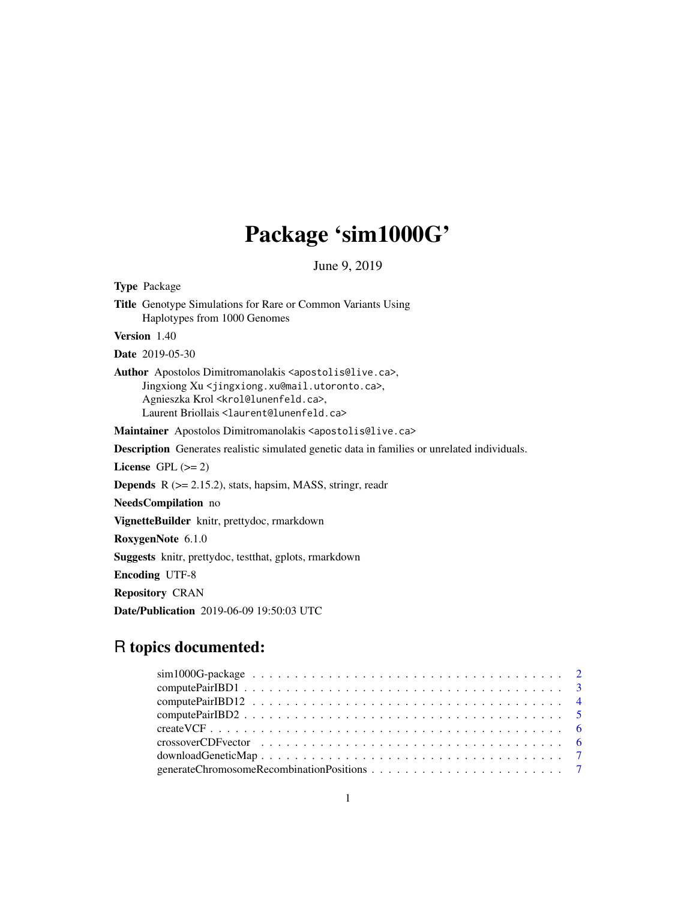# Package 'sim1000G'

June 9, 2019

Type Package Title Genotype Simulations for Rare or Common Variants Using Haplotypes from 1000 Genomes Version 1.40 Date 2019-05-30 Author Apostolos Dimitromanolakis <apostolis@live.ca>, Jingxiong Xu <jingxiong.xu@mail.utoronto.ca>, Agnieszka Krol <krol@lunenfeld.ca>, Laurent Briollais <laurent@lunenfeld.ca> Maintainer Apostolos Dimitromanolakis <apostolis@live.ca> Description Generates realistic simulated genetic data in families or unrelated individuals. License GPL  $(>= 2)$ **Depends** R  $(>= 2.15.2)$ , stats, hapsim, MASS, stringr, readr NeedsCompilation no VignetteBuilder knitr, prettydoc, rmarkdown RoxygenNote 6.1.0 Suggests knitr, prettydoc, testthat, gplots, rmarkdown Encoding UTF-8 Repository CRAN

Date/Publication 2019-06-09 19:50:03 UTC

# R topics documented: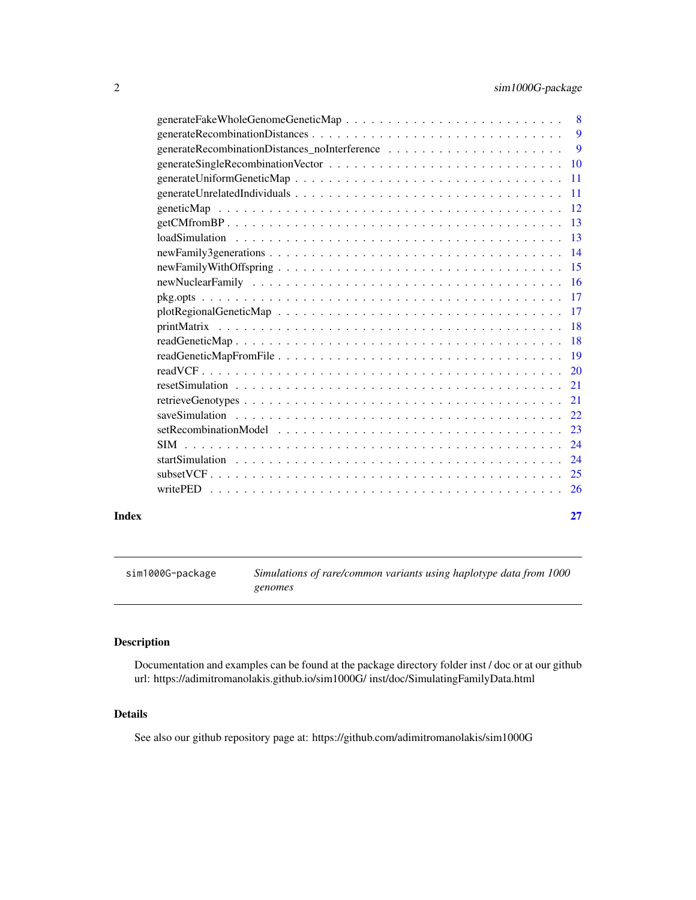<span id="page-1-0"></span>

|       |                | $\overline{9}$ |
|-------|----------------|----------------|
|       |                | 9              |
|       |                |                |
|       |                |                |
|       |                |                |
|       |                |                |
|       | getCM from BP. |                |
|       |                |                |
|       |                |                |
|       |                |                |
|       |                |                |
|       |                |                |
|       |                |                |
|       |                |                |
|       |                |                |
|       |                |                |
|       |                |                |
|       |                |                |
|       |                |                |
|       |                |                |
|       |                |                |
|       |                |                |
|       |                |                |
|       |                |                |
|       |                |                |
| Index |                | 27             |

sim1000G-package *Simulations of rare/common variants using haplotype data from 1000 genomes*

# Description

Documentation and examples can be found at the package directory folder inst / doc or at our github url: https://adimitromanolakis.github.io/sim1000G/ inst/doc/SimulatingFamilyData.html

# Details

See also our github repository page at: https://github.com/adimitromanolakis/sim1000G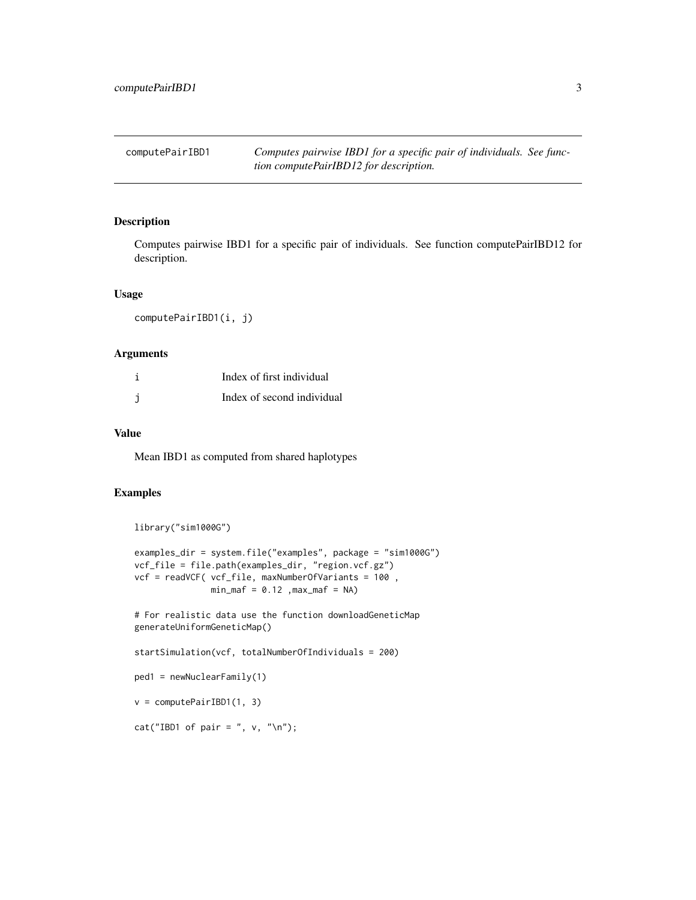<span id="page-2-0"></span>computePairIBD1 *Computes pairwise IBD1 for a specific pair of individuals. See function computePairIBD12 for description.*

#### Description

Computes pairwise IBD1 for a specific pair of individuals. See function computePairIBD12 for description.

#### Usage

computePairIBD1(i, j)

#### **Arguments**

| Index of first individual  |
|----------------------------|
| Index of second individual |

# Value

Mean IBD1 as computed from shared haplotypes

#### Examples

```
library("sim1000G")
```

```
examples_dir = system.file("examples", package = "sim1000G")
vcf_file = file.path(examples_dir, "region.vcf.gz")
vcf = readVCF( vcf_file, maxNumberOfVariants = 100 ,
              min\_maf = 0.12, max\_maf = NA
```
# For realistic data use the function downloadGeneticMap generateUniformGeneticMap()

```
startSimulation(vcf, totalNumberOfIndividuals = 200)
```

```
ped1 = newNuclearFamily(1)
```

```
v = computePairIBD1(1, 3)
```
cat("IBD1 of pair = ",  $v,$  "\n");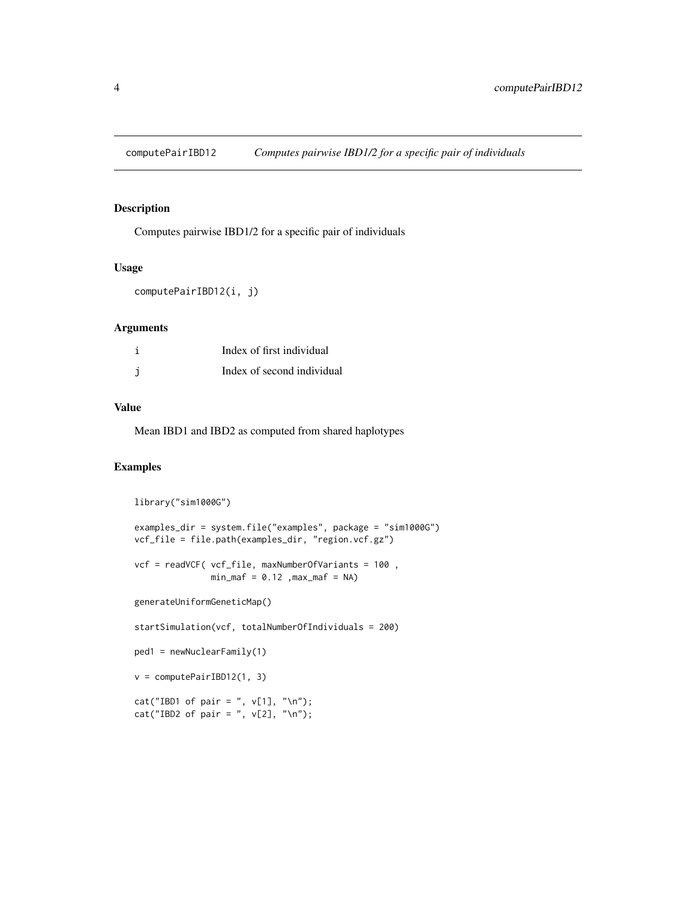<span id="page-3-0"></span>

Computes pairwise IBD1/2 for a specific pair of individuals

# Usage

computePairIBD12(i, j)

# Arguments

| Index of first individual  |
|----------------------------|
| Index of second individual |

#### Value

Mean IBD1 and IBD2 as computed from shared haplotypes

```
library("sim1000G")
examples_dir = system.file("examples", package = "sim1000G")
vcf_file = file.path(examples_dir, "region.vcf.gz")
vcf = readVCF( vcf_file, maxNumberOfVariants = 100 ,
               min\_maf = 0.12, max\_maf = NAgenerateUniformGeneticMap()
startSimulation(vcf, totalNumberOfIndividuals = 200)
ped1 = newNuclearFamily(1)
v = computePairIBD12(1, 3)
cat("IBD1 of pair = ", v[1], "\\n");cat("IBD2 of pair = ", v[2], "\\n");
```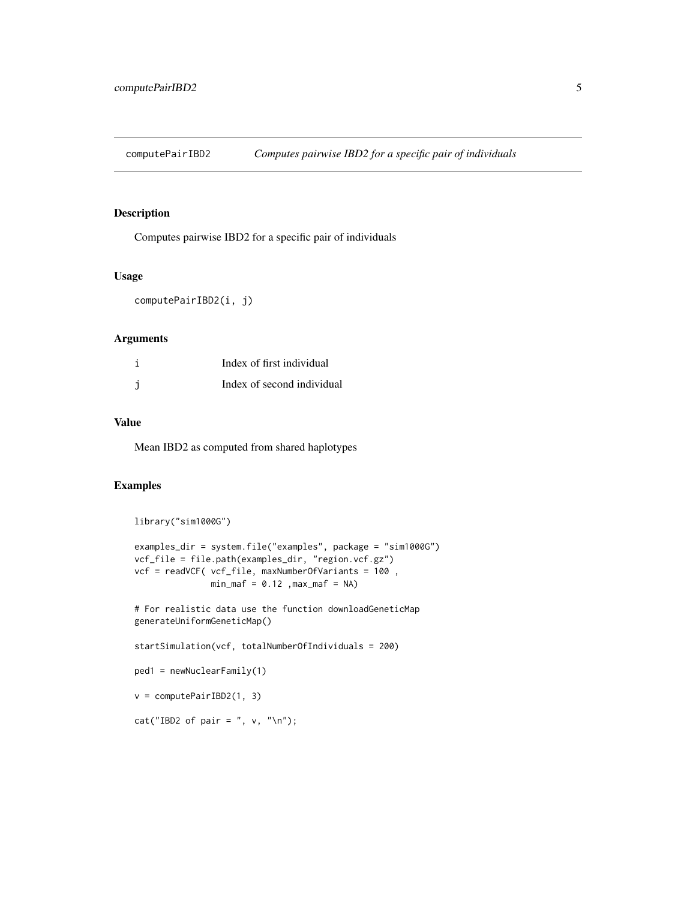<span id="page-4-0"></span>computePairIBD2 *Computes pairwise IBD2 for a specific pair of individuals*

#### Description

Computes pairwise IBD2 for a specific pair of individuals

# Usage

computePairIBD2(i, j)

#### Arguments

| Index of first individual  |
|----------------------------|
| Index of second individual |

#### Value

Mean IBD2 as computed from shared haplotypes

```
library("sim1000G")
examples_dir = system.file("examples", package = "sim1000G")
vcf_file = file.path(examples_dir, "region.vcf.gz")
vcf = readVCF( vcf_file, maxNumberOfVariants = 100 ,
              min\_maf = 0.12, max\_maf = NA# For realistic data use the function downloadGeneticMap
generateUniformGeneticMap()
startSimulation(vcf, totalNumberOfIndividuals = 200)
ped1 = newNuclearFamily(1)
v = computePairIBD2(1, 3)
cat("IBD2 of pair = ", v, "\n");
```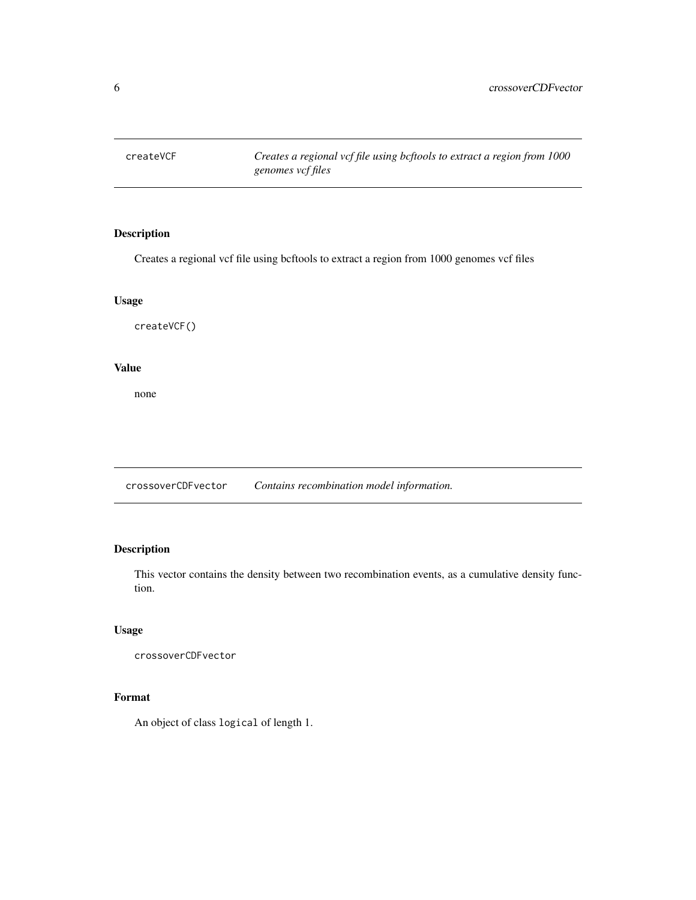<span id="page-5-0"></span>createVCF *Creates a regional vcf file using bcftools to extract a region from 1000 genomes vcf files*

# Description

Creates a regional vcf file using bcftools to extract a region from 1000 genomes vcf files

#### Usage

createVCF()

#### Value

none

crossoverCDFvector *Contains recombination model information.*

# Description

This vector contains the density between two recombination events, as a cumulative density function.

# Usage

```
crossoverCDFvector
```
# Format

An object of class logical of length 1.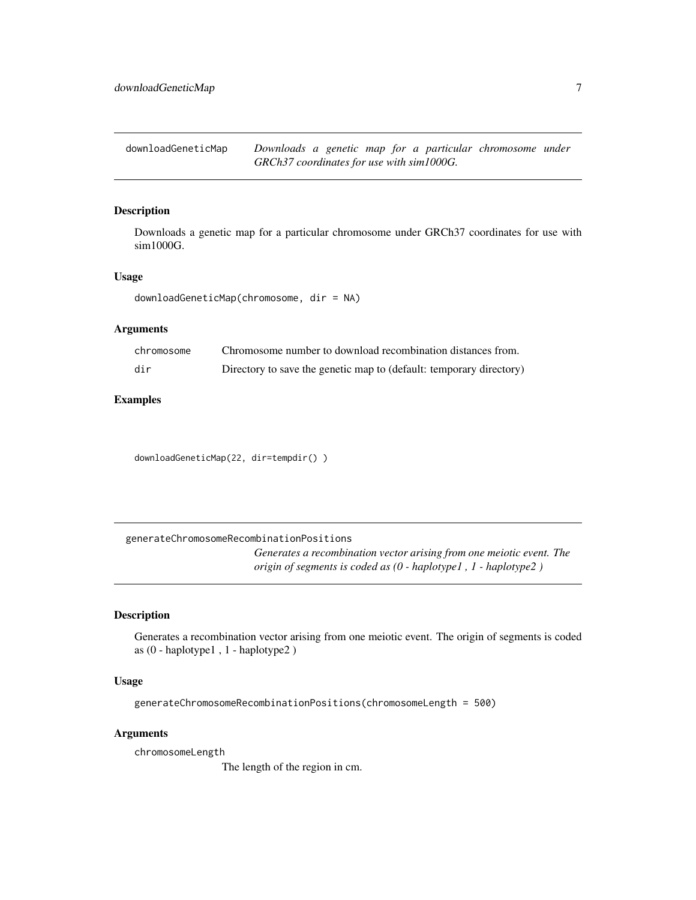<span id="page-6-0"></span>downloadGeneticMap *Downloads a genetic map for a particular chromosome under GRCh37 coordinates for use with sim1000G.*

#### Description

Downloads a genetic map for a particular chromosome under GRCh37 coordinates for use with sim1000G.

#### Usage

downloadGeneticMap(chromosome, dir = NA)

#### **Arguments**

| chromosome | Chromosome number to download recombination distances from.         |
|------------|---------------------------------------------------------------------|
| dir        | Directory to save the genetic map to (default: temporary directory) |

# Examples

downloadGeneticMap(22, dir=tempdir() )

generateChromosomeRecombinationPositions *Generates a recombination vector arising from one meiotic event. The origin of segments is coded as (0 - haplotype1 , 1 - haplotype2 )*

#### Description

Generates a recombination vector arising from one meiotic event. The origin of segments is coded as (0 - haplotype1 , 1 - haplotype2 )

# Usage

generateChromosomeRecombinationPositions(chromosomeLength = 500)

#### Arguments

chromosomeLength

The length of the region in cm.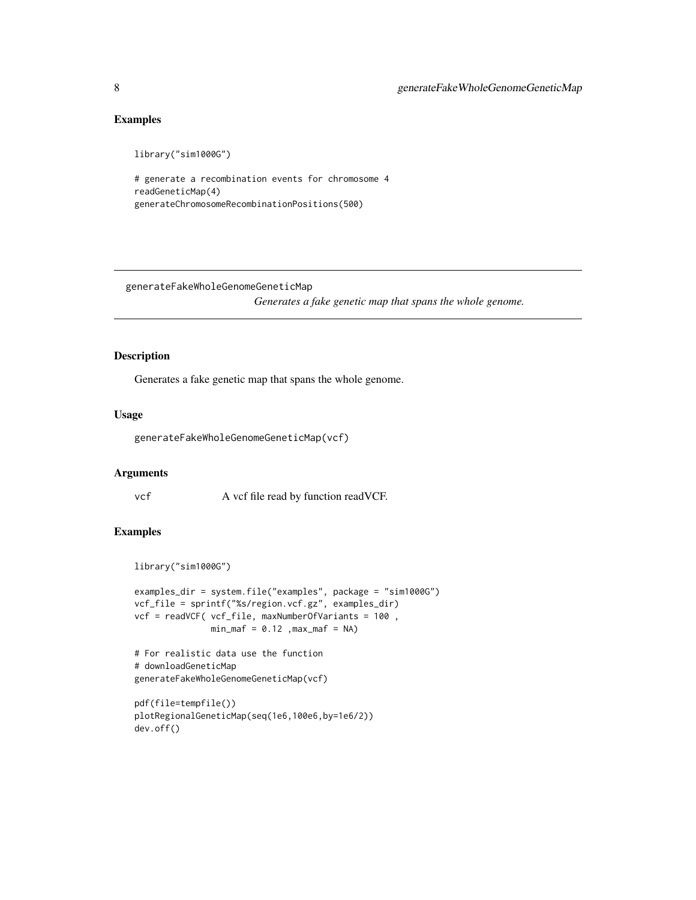# Examples

library("sim1000G")

```
# generate a recombination events for chromosome 4
readGeneticMap(4)
generateChromosomeRecombinationPositions(500)
```
generateFakeWholeGenomeGeneticMap

*Generates a fake genetic map that spans the whole genome.*

# Description

Generates a fake genetic map that spans the whole genome.

# Usage

```
generateFakeWholeGenomeGeneticMap(vcf)
```
#### Arguments

vcf A vcf file read by function readVCF.

```
library("sim1000G")
```

```
examples_dir = system.file("examples", package = "sim1000G")
vcf_file = sprintf("%s/region.vcf.gz", examples_dir)
vcf = readVCF( vcf_file, maxNumberOfVariants = 100 ,
               min\_maf = 0.12, max\_maf = NA# For realistic data use the function
# downloadGeneticMap
generateFakeWholeGenomeGeneticMap(vcf)
```

```
pdf(file=tempfile())
plotRegionalGeneticMap(seq(1e6,100e6,by=1e6/2))
dev.off()
```
<span id="page-7-0"></span>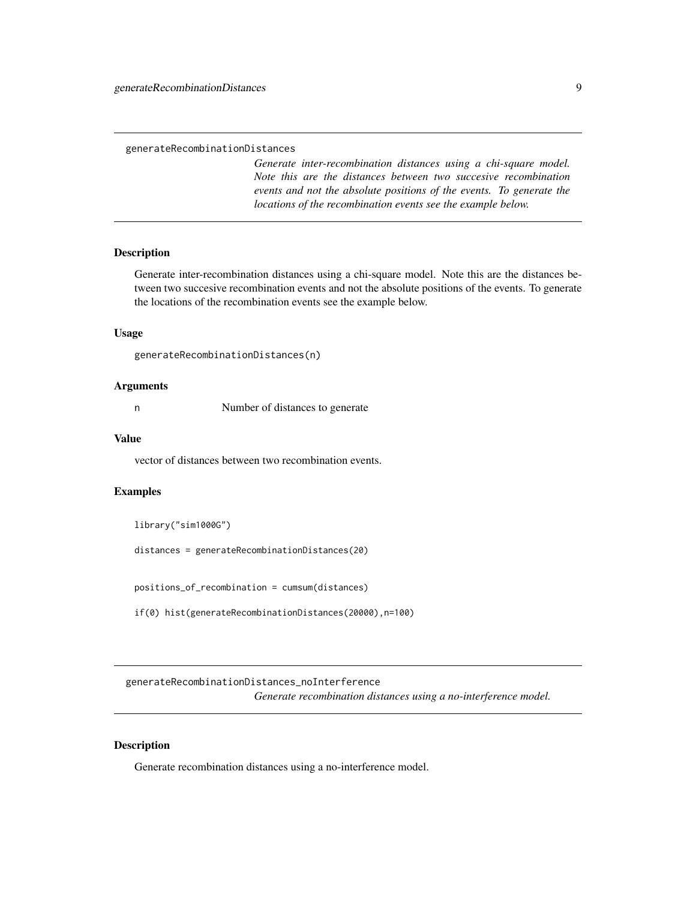<span id="page-8-0"></span>*Generate inter-recombination distances using a chi-square model. Note this are the distances between two succesive recombination events and not the absolute positions of the events. To generate the locations of the recombination events see the example below.*

#### Description

Generate inter-recombination distances using a chi-square model. Note this are the distances between two succesive recombination events and not the absolute positions of the events. To generate the locations of the recombination events see the example below.

#### Usage

```
generateRecombinationDistances(n)
```
#### Arguments

n Number of distances to generate

#### Value

vector of distances between two recombination events.

#### Examples

library("sim1000G")

distances = generateRecombinationDistances(20)

positions\_of\_recombination = cumsum(distances)

if(0) hist(generateRecombinationDistances(20000),n=100)

generateRecombinationDistances\_noInterference *Generate recombination distances using a no-interference model.*

# Description

Generate recombination distances using a no-interference model.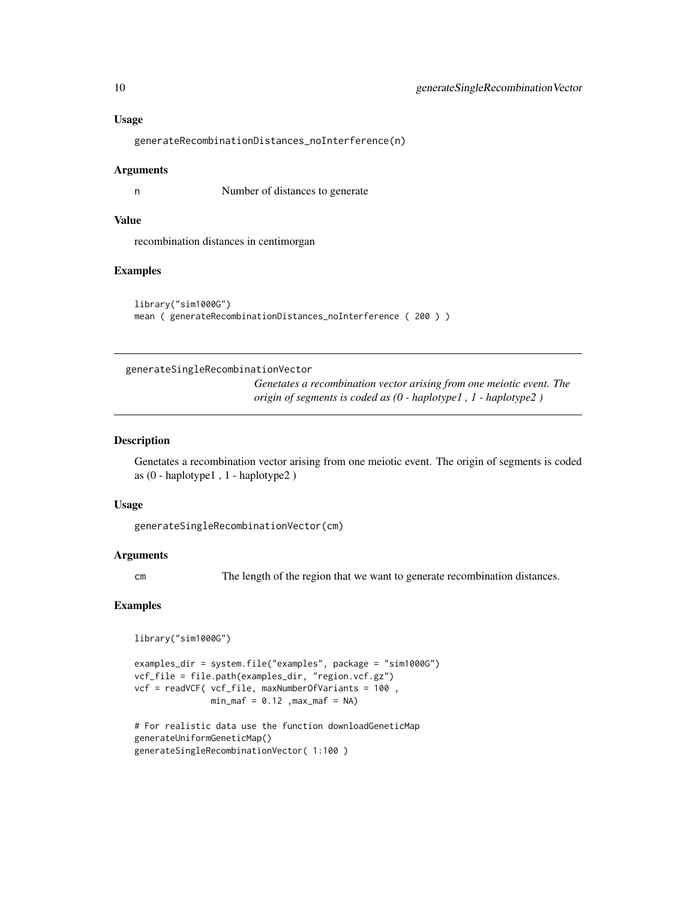#### Usage

generateRecombinationDistances\_noInterference(n)

#### Arguments

n Number of distances to generate

# Value

recombination distances in centimorgan

#### Examples

```
library("sim1000G")
mean ( generateRecombinationDistances_noInterference ( 200 ) )
```
#### generateSingleRecombinationVector

*Genetates a recombination vector arising from one meiotic event. The origin of segments is coded as (0 - haplotype1 , 1 - haplotype2 )*

#### Description

Genetates a recombination vector arising from one meiotic event. The origin of segments is coded as (0 - haplotype1 , 1 - haplotype2 )

#### Usage

generateSingleRecombinationVector(cm)

#### Arguments

cm The length of the region that we want to generate recombination distances.

```
library("sim1000G")
```

```
examples_dir = system.file("examples", package = "sim1000G")
vcf_file = file.path(examples_dir, "region.vcf.gz")
vcf = readVCF( vcf_file, maxNumberOfVariants = 100 ,
              min\_maf = 0.12, max\_maf = NA
```

```
# For realistic data use the function downloadGeneticMap
generateUniformGeneticMap()
generateSingleRecombinationVector( 1:100 )
```
<span id="page-9-0"></span>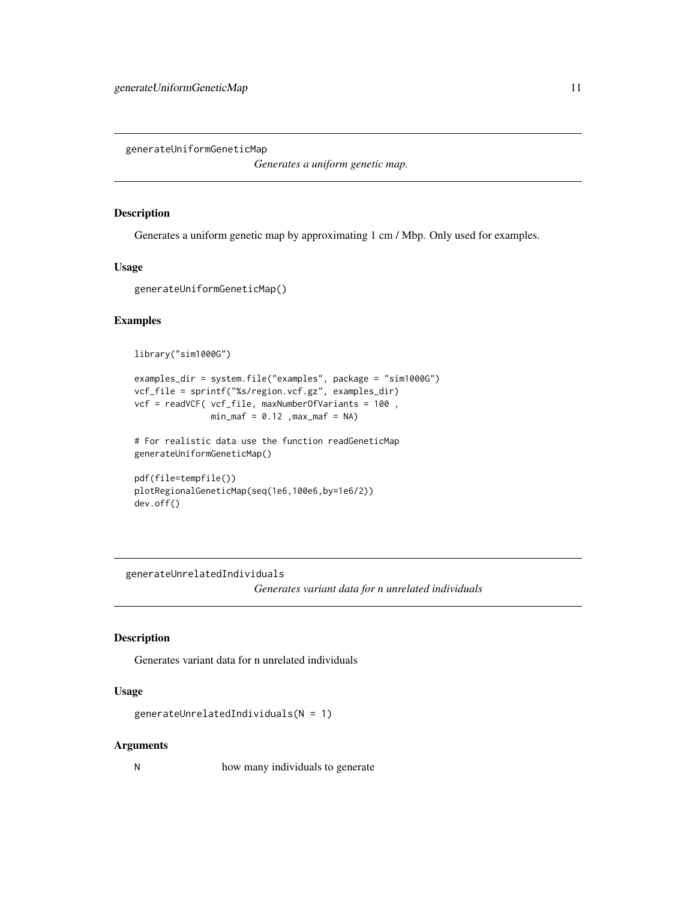<span id="page-10-0"></span>generateUniformGeneticMap

*Generates a uniform genetic map.*

#### Description

Generates a uniform genetic map by approximating 1 cm / Mbp. Only used for examples.

#### Usage

```
generateUniformGeneticMap()
```
# Examples

library("sim1000G")

```
examples_dir = system.file("examples", package = "sim1000G")
vcf_file = sprintf("%s/region.vcf.gz", examples_dir)
vcf = readVCF( vcf_file, maxNumberOfVariants = 100 ,
              min\_maf = 0.12, max\_maf = NA
```
# For realistic data use the function readGeneticMap generateUniformGeneticMap()

```
pdf(file=tempfile())
plotRegionalGeneticMap(seq(1e6,100e6,by=1e6/2))
dev.off()
```
generateUnrelatedIndividuals

*Generates variant data for n unrelated individuals*

# Description

Generates variant data for n unrelated individuals

#### Usage

generateUnrelatedIndividuals(N = 1)

#### Arguments

N how many individuals to generate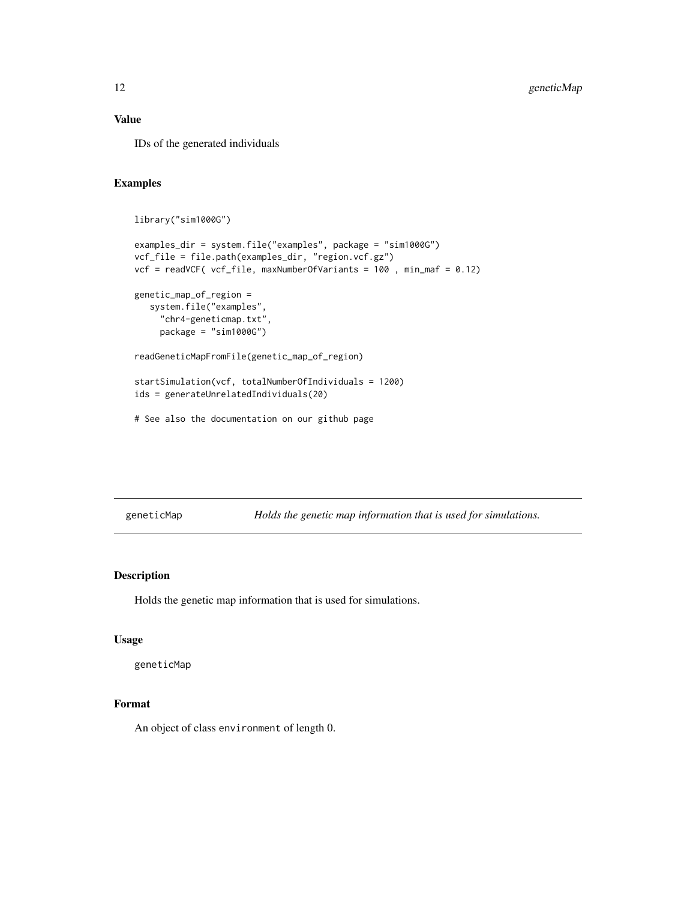#### <span id="page-11-0"></span>Value

IDs of the generated individuals

# Examples

```
library("sim1000G")
examples_dir = system.file("examples", package = "sim1000G")
vcf_file = file.path(examples_dir, "region.vcf.gz")
vcf = readVCF( vcf_file, maxNumberOfVariants = 100 , min_maf = 0.12)
genetic_map_of_region =
   system.file("examples",
     "chr4-geneticmap.txt",
     package = "sim1000G")
readGeneticMapFromFile(genetic_map_of_region)
startSimulation(vcf, totalNumberOfIndividuals = 1200)
ids = generateUnrelatedIndividuals(20)
# See also the documentation on our github page
```
geneticMap *Holds the genetic map information that is used for simulations.*

# Description

Holds the genetic map information that is used for simulations.

#### Usage

geneticMap

#### Format

An object of class environment of length 0.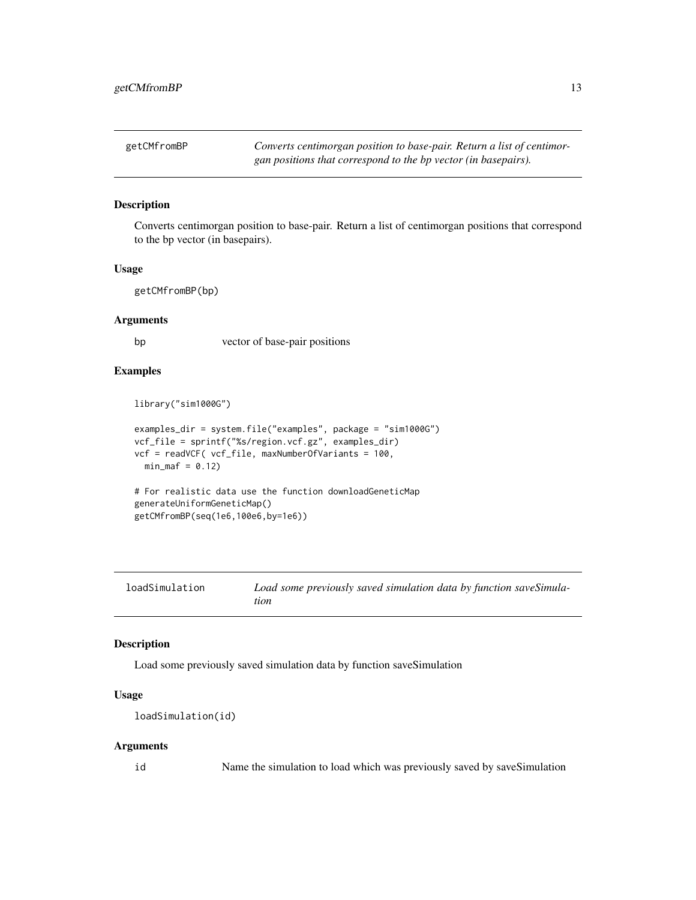<span id="page-12-0"></span>getCMfromBP *Converts centimorgan position to base-pair. Return a list of centimorgan positions that correspond to the bp vector (in basepairs).*

#### Description

Converts centimorgan position to base-pair. Return a list of centimorgan positions that correspond to the bp vector (in basepairs).

#### Usage

getCMfromBP(bp)

#### Arguments

bp vector of base-pair positions

#### Examples

library("sim1000G")

```
examples_dir = system.file("examples", package = "sim1000G")
vcf_file = sprintf("%s/region.vcf.gz", examples_dir)
vcf = readVCF( vcf_file, maxNumberOfVariants = 100,
  min\_maf = 0.12# For realistic data use the function downloadGeneticMap
generateUniformGeneticMap()
```

```
getCMfromBP(seq(1e6,100e6,by=1e6))
```

| loadSimulation | Load some previously saved simulation data by function saveSimula- |
|----------------|--------------------------------------------------------------------|
|                | tion                                                               |

#### Description

Load some previously saved simulation data by function saveSimulation

#### Usage

```
loadSimulation(id)
```
#### Arguments

id Name the simulation to load which was previously saved by saveSimulation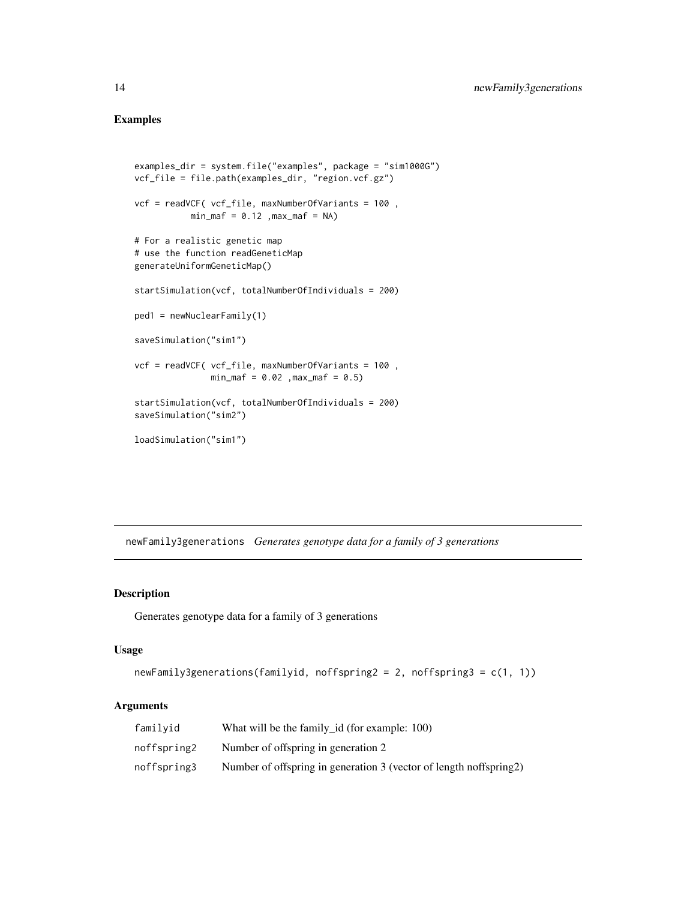# Examples

```
examples_dir = system.file("examples", package = "sim1000G")
vcf_file = file.path(examples_dir, "region.vcf.gz")
vcf = readVCF( vcf_file, maxNumberOfVariants = 100 ,
           min\_maf = 0.12, max\_maf = NA# For a realistic genetic map
# use the function readGeneticMap
generateUniformGeneticMap()
startSimulation(vcf, totalNumberOfIndividuals = 200)
ped1 = newNuclearFamily(1)
saveSimulation("sim1")
vcf = readVCF( vcf_file, maxNumberOfVariants = 100 ,
               min\_maf = 0.02, max\_maf = 0.5startSimulation(vcf, totalNumberOfIndividuals = 200)
saveSimulation("sim2")
loadSimulation("sim1")
```
newFamily3generations *Generates genotype data for a family of 3 generations*

#### Description

Generates genotype data for a family of 3 generations

#### Usage

```
newFamily3generations(familyid, noffspring2 = 2, noffspring3 = c(1, 1))
```
#### Arguments

| familyid    | What will be the family id (for example: 100)                      |
|-------------|--------------------------------------------------------------------|
| noffspring2 | Number of offspring in generation 2                                |
| noffspring3 | Number of offspring in generation 3 (vector of length noffspring2) |

<span id="page-13-0"></span>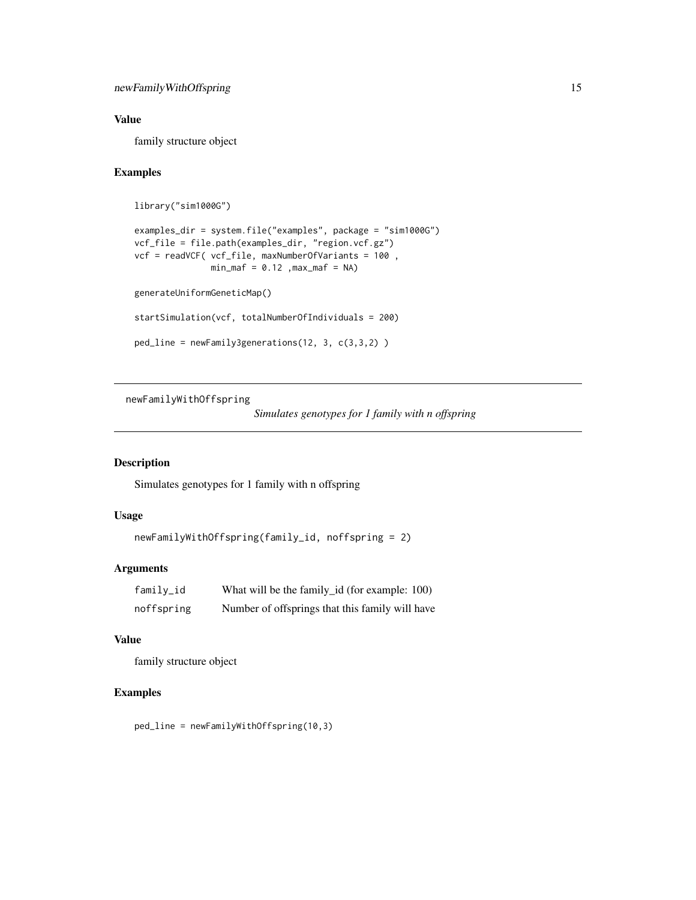# <span id="page-14-0"></span>Value

family structure object

# Examples

```
library("sim1000G")
```

```
examples_dir = system.file("examples", package = "sim1000G")
vcf_file = file.path(examples_dir, "region.vcf.gz")
vcf = readVCF( vcf_file, maxNumberOfVariants = 100 ,
               min\_maf = 0.12, max\_maf = NA
```
generateUniformGeneticMap()

```
startSimulation(vcf, totalNumberOfIndividuals = 200)
```

```
ped_line = newFamily3generations(12, 3, c(3,3,2) )
```
newFamilyWithOffspring

```
Simulates genotypes for 1 family with n offspring
```
# Description

Simulates genotypes for 1 family with n offspring

# Usage

```
newFamilyWithOffspring(family_id, noffspring = 2)
```
# Arguments

| family_id  | What will be the family_id (for example: 100)   |
|------------|-------------------------------------------------|
| noffspring | Number of offsprings that this family will have |

#### Value

family structure object

# Examples

ped\_line = newFamilyWithOffspring(10,3)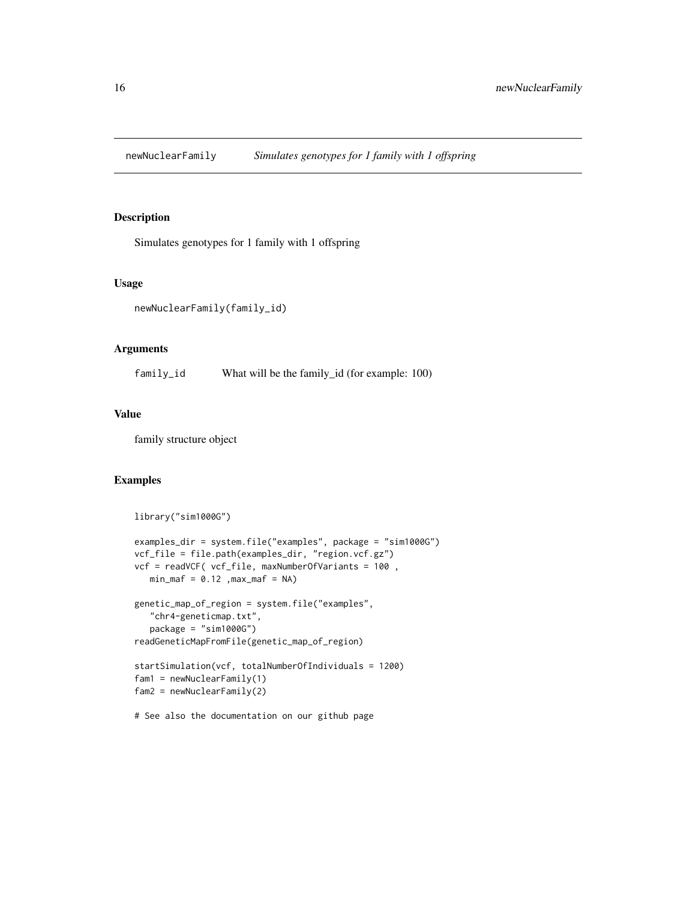<span id="page-15-0"></span>newNuclearFamily *Simulates genotypes for 1 family with 1 offspring*

# Description

Simulates genotypes for 1 family with 1 offspring

#### Usage

```
newNuclearFamily(family_id)
```
# Arguments

family\_id What will be the family\_id (for example: 100)

#### Value

family structure object

# Examples

library("sim1000G")

```
examples_dir = system.file("examples", package = "sim1000G")
vcf_file = file.path(examples_dir, "region.vcf.gz")
vcf = readVCF( vcf_file, maxNumberOfVariants = 100 ,
  min\_maf = 0.12, max\_maf = NAgenetic_map_of_region = system.file("examples",
   "chr4-geneticmap.txt",
   package = "sim1000G")
readGeneticMapFromFile(genetic_map_of_region)
startSimulation(vcf, totalNumberOfIndividuals = 1200)
fam1 = newNuclearFamily(1)
fam2 = newNuclearFamily(2)
```
# See also the documentation on our github page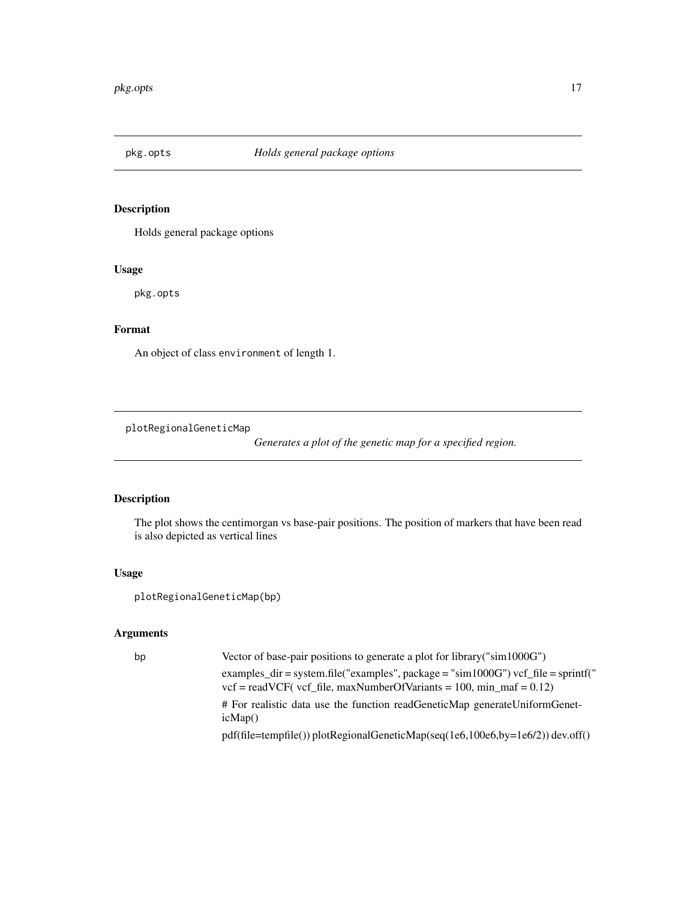<span id="page-16-0"></span>

Holds general package options

#### Usage

pkg.opts

# Format

An object of class environment of length 1.

plotRegionalGeneticMap

*Generates a plot of the genetic map for a specified region.*

# Description

The plot shows the centimorgan vs base-pair positions. The position of markers that have been read is also depicted as vertical lines

#### Usage

```
plotRegionalGeneticMap(bp)
```
# Arguments

| bp | Vector of base-pair positions to generate a plot for library ( $\text{sim}1000\text{G}$ )                                                                                                  |
|----|--------------------------------------------------------------------------------------------------------------------------------------------------------------------------------------------|
|    | examples $\text{dir} = \text{system.file}$ ("examples", package = "sim1000G") vcf $\text{file} = \text{spring}$ "<br>$vcf = readVCF$ (vcf file, maxNumberOfVariants = 100, min maf = 0.12) |
|    | # For realistic data use the function readGeneticMap generateUniformGenet-<br>icMap()                                                                                                      |
|    | $pdf(file = tempfile())$ plotRegionalGeneticMap(seq(1e6,100e6,by=1e6/2)) dev.off()                                                                                                         |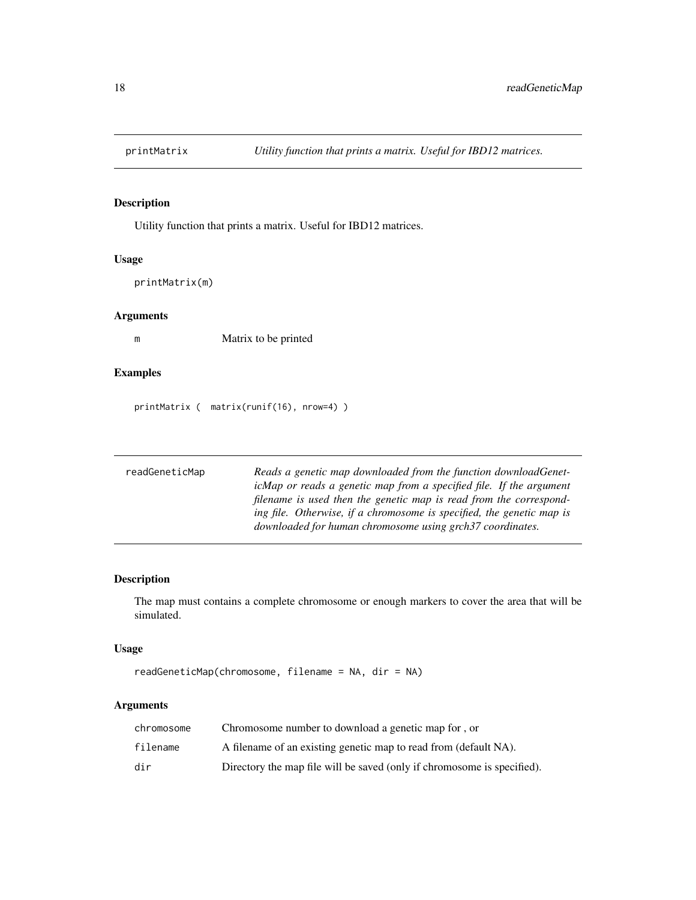<span id="page-17-0"></span>

Utility function that prints a matrix. Useful for IBD12 matrices.

#### Usage

printMatrix(m)

# Arguments

m Matrix to be printed

# Examples

printMatrix ( matrix(runif(16), nrow=4) )

| readGeneticMap | Reads a genetic map downloaded from the function downloadGenet-       |
|----------------|-----------------------------------------------------------------------|
|                | icMap or reads a genetic map from a specified file. If the argument   |
|                | filename is used then the genetic map is read from the correspond-    |
|                | ing file. Otherwise, if a chromosome is specified, the genetic map is |
|                | downloaded for human chromosome using grch37 coordinates.             |

# Description

The map must contains a complete chromosome or enough markers to cover the area that will be simulated.

# Usage

```
readGeneticMap(chromosome, filename = NA, dir = NA)
```
# Arguments

| chromosome | Chromosome number to download a genetic map for, or                     |
|------------|-------------------------------------------------------------------------|
| filename   | A filename of an existing genetic map to read from (default NA).        |
| dir        | Directory the map file will be saved (only if chromosome is specified). |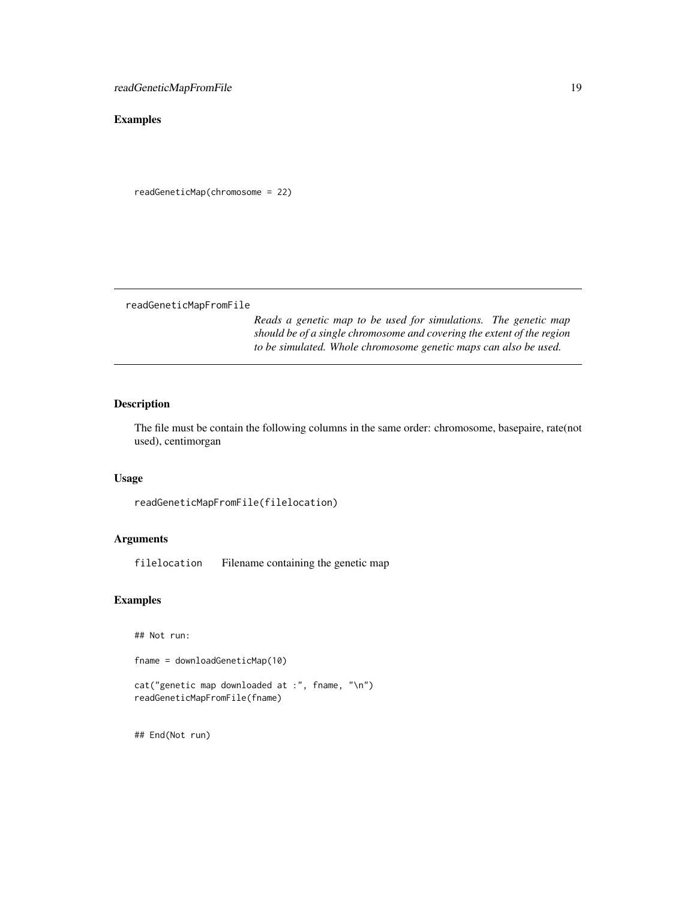# <span id="page-18-0"></span>Examples

```
readGeneticMap(chromosome = 22)
```
readGeneticMapFromFile

*Reads a genetic map to be used for simulations. The genetic map should be of a single chromosome and covering the extent of the region to be simulated. Whole chromosome genetic maps can also be used.*

# Description

The file must be contain the following columns in the same order: chromosome, basepaire, rate(not used), centimorgan

# Usage

```
readGeneticMapFromFile(filelocation)
```
# Arguments

filelocation Filename containing the genetic map

# Examples

## Not run:

fname = downloadGeneticMap(10)

```
cat("genetic map downloaded at :", fname, "\n")
readGeneticMapFromFile(fname)
```
## End(Not run)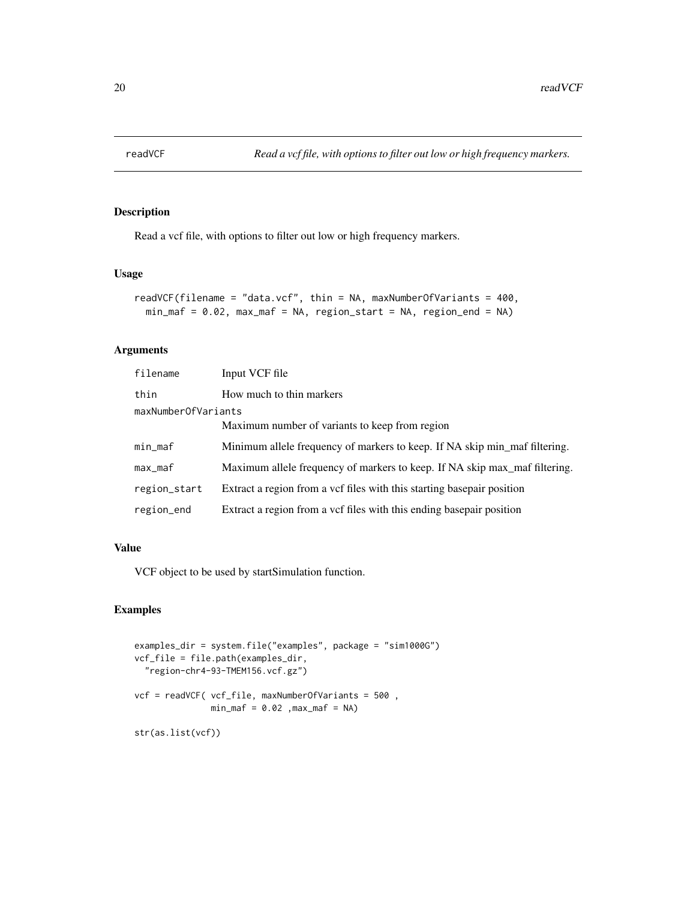<span id="page-19-0"></span>

Read a vcf file, with options to filter out low or high frequency markers.

#### Usage

```
readVCF(filename = "data.vcf", thin = NA, maxNumberOfVariants = 400,
 min_maf = 0.02, max_maf = NA, region_start = NA, region_end = NA)
```
# Arguments

| filename            | Input VCF file                                                             |  |
|---------------------|----------------------------------------------------------------------------|--|
| thin                | How much to thin markers                                                   |  |
| maxNumberOfVariants |                                                                            |  |
|                     | Maximum number of variants to keep from region                             |  |
| min_maf             | Minimum allele frequency of markers to keep. If NA skip min_maf filtering. |  |
| max_maf             | Maximum allele frequency of markers to keep. If NA skip max maf filtering. |  |
| region_start        | Extract a region from a vertifiles with this starting basepair position    |  |
| region_end          | Extract a region from a vcf files with this ending basepair position       |  |

# Value

VCF object to be used by startSimulation function.

```
examples_dir = system.file("examples", package = "sim1000G")
vcf_file = file.path(examples_dir,
  "region-chr4-93-TMEM156.vcf.gz")
vcf = readVCF( vcf_file, maxNumberOfVariants = 500 ,
               min\_maf = 0.02, max\_maf = NAstr(as.list(vcf))
```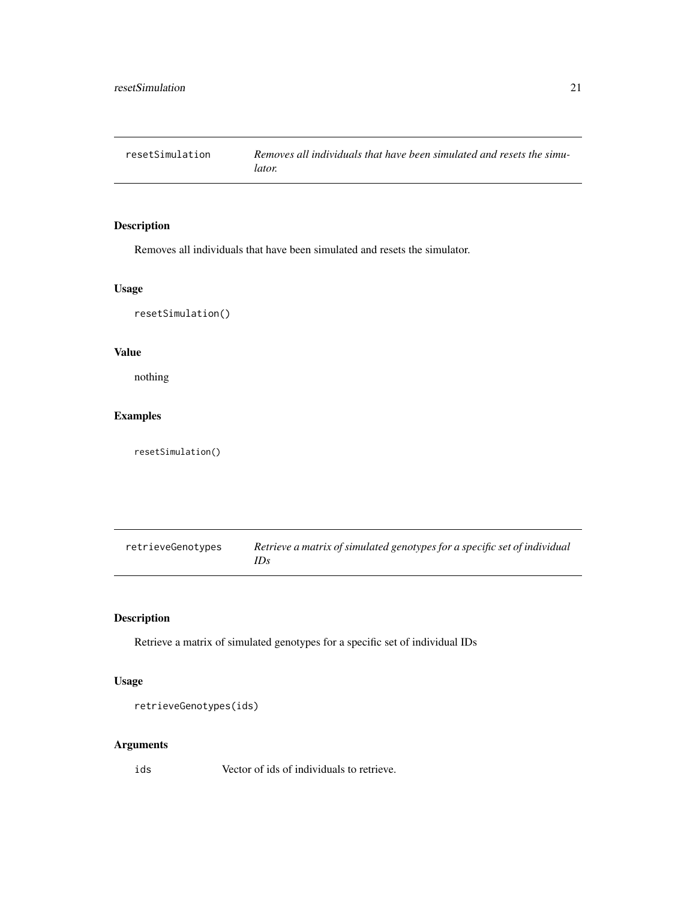<span id="page-20-0"></span>

Removes all individuals that have been simulated and resets the simulator.

#### Usage

resetSimulation()

# Value

nothing

# Examples

resetSimulation()

| retrieveGenotypes | Retrieve a matrix of simulated genotypes for a specific set of individual |
|-------------------|---------------------------------------------------------------------------|
|                   | IDs                                                                       |

# Description

Retrieve a matrix of simulated genotypes for a specific set of individual IDs

# Usage

```
retrieveGenotypes(ids)
```
# Arguments

ids Vector of ids of individuals to retrieve.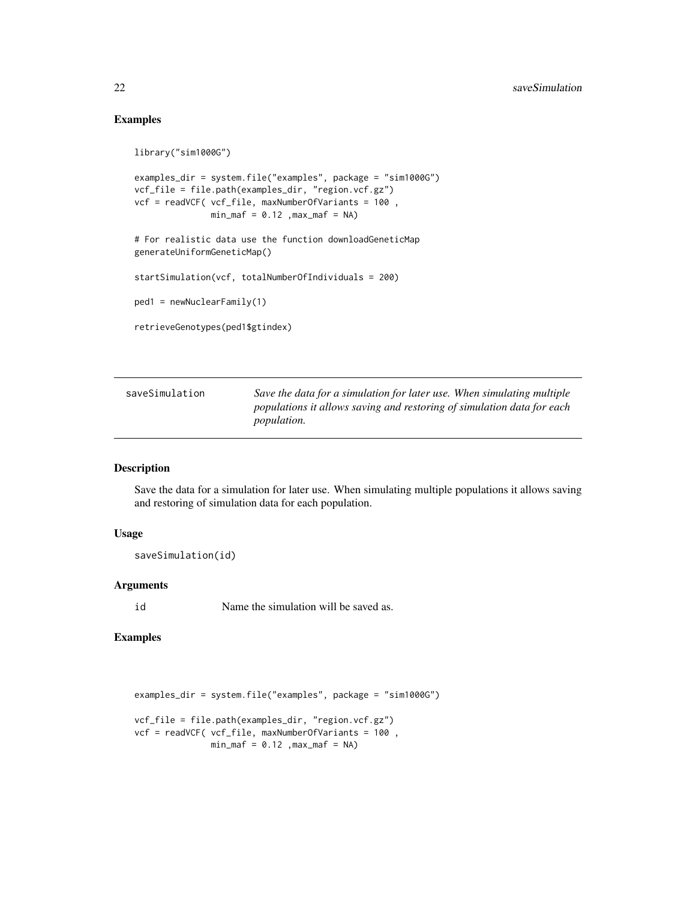# Examples

```
library("sim1000G")
```

```
examples_dir = system.file("examples", package = "sim1000G")
vcf_file = file.path(examples_dir, "region.vcf.gz")
vcf = readVCF( vcf_file, maxNumberOfVariants = 100 ,
               min\_maf = 0.12, max\_maf = NA
```
# For realistic data use the function downloadGeneticMap generateUniformGeneticMap()

startSimulation(vcf, totalNumberOfIndividuals = 200)

ped1 = newNuclearFamily(1)

```
retrieveGenotypes(ped1$gtindex)
```

| saveSimulation | Save the data for a simulation for later use. When simulating multiple |
|----------------|------------------------------------------------------------------------|
|                | populations it allows saving and restoring of simulation data for each |
|                | <i>population.</i>                                                     |

#### Description

Save the data for a simulation for later use. When simulating multiple populations it allows saving and restoring of simulation data for each population.

#### Usage

```
saveSimulation(id)
```
# Arguments

id Name the simulation will be saved as.

```
examples_dir = system.file("examples", package = "sim1000G")
vcf_file = file.path(examples_dir, "region.vcf.gz")
vcf = readVCF( vcf_file, maxNumberOfVariants = 100 ,
              min\_maf = 0.12, max\_maf = NA
```
<span id="page-21-0"></span>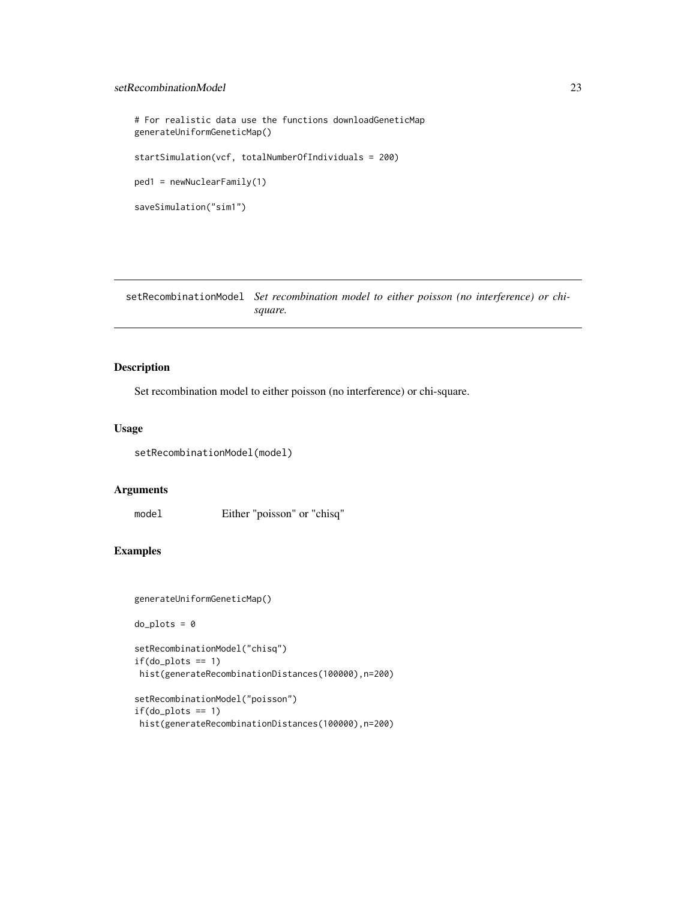#### <span id="page-22-0"></span>setRecombinationModel 23

```
# For realistic data use the functions downloadGeneticMap
generateUniformGeneticMap()
startSimulation(vcf, totalNumberOfIndividuals = 200)
ped1 = newNuclearFamily(1)
saveSimulation("sim1")
```
setRecombinationModel *Set recombination model to either poisson (no interference) or chisquare.*

# Description

Set recombination model to either poisson (no interference) or chi-square.

#### Usage

setRecombinationModel(model)

#### Arguments

model Either "poisson" or "chisq"

# Examples

```
generateUniformGeneticMap()
```
 $do_{plots} = 0$ 

```
setRecombinationModel("chisq")
if(do_plots == 1)hist(generateRecombinationDistances(100000),n=200)
```

```
setRecombinationModel("poisson")
if(do_plots == 1)hist(generateRecombinationDistances(100000),n=200)
```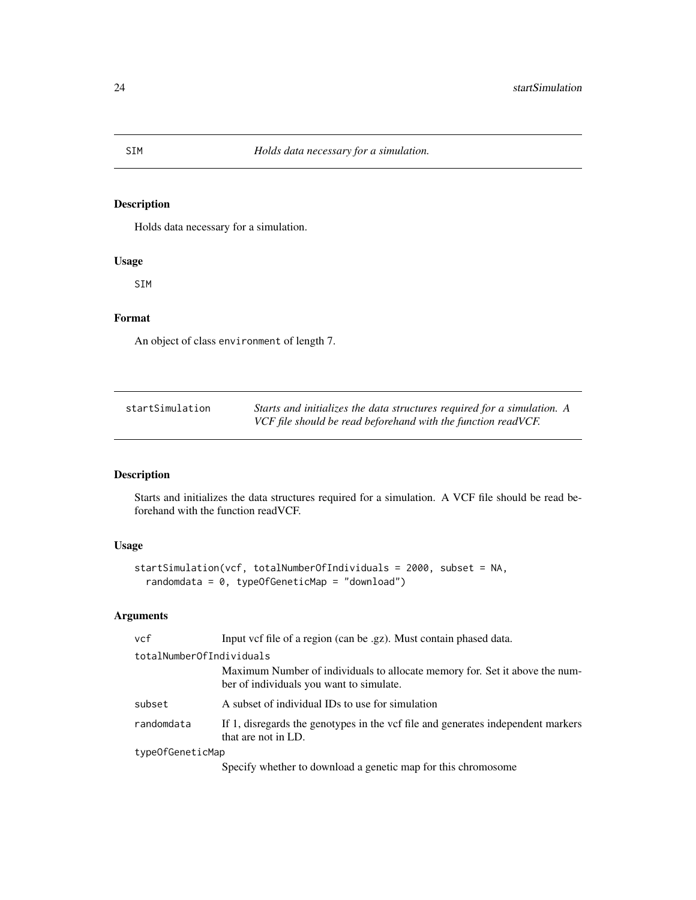<span id="page-23-0"></span>Holds data necessary for a simulation.

# Usage

SIM

# Format

An object of class environment of length 7.

| startSimulation | Starts and initializes the data structures required for a simulation. A |
|-----------------|-------------------------------------------------------------------------|
|                 | VCF file should be read beforehand with the function readVCF.           |

# Description

Starts and initializes the data structures required for a simulation. A VCF file should be read beforehand with the function readVCF.

# Usage

```
startSimulation(vcf, totalNumberOfIndividuals = 2000, subset = NA,
 randomdata = 0, typeOfGeneticMap = "download")
```
# Arguments

| vcf                      | Input vcf file of a region (can be .gz). Must contain phased data.                                                      |
|--------------------------|-------------------------------------------------------------------------------------------------------------------------|
| totalNumberOfIndividuals |                                                                                                                         |
|                          | Maximum Number of individuals to allocate memory for. Set it above the num-<br>ber of individuals you want to simulate. |
| subset                   | A subset of individual IDs to use for simulation                                                                        |
| randomdata               | If 1, disregards the genotypes in the vcf file and generates independent markers<br>that are not in LD.                 |
| type0fGeneticMap         |                                                                                                                         |
|                          | Specify whether to download a genetic map for this chromosome                                                           |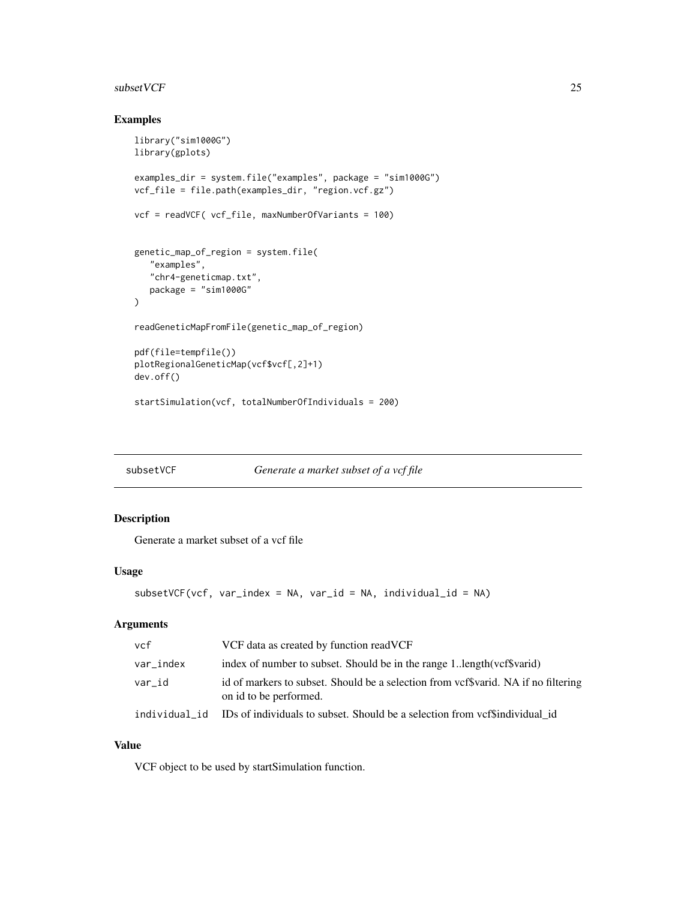#### <span id="page-24-0"></span> $\mathbf{s}$ ubset VCF 25

# Examples

```
library("sim1000G")
library(gplots)
examples_dir = system.file("examples", package = "sim1000G")
vcf_file = file.path(examples_dir, "region.vcf.gz")
vcf = readVCF( vcf_file, maxNumberOfVariants = 100)
genetic_map_of_region = system.file(
   "examples",
   "chr4-geneticmap.txt",
  package = "sim1000G"
\lambdareadGeneticMapFromFile(genetic_map_of_region)
pdf(file=tempfile())
plotRegionalGeneticMap(vcf$vcf[,2]+1)
dev.off()
startSimulation(vcf, totalNumberOfIndividuals = 200)
```
subsetVCF *Generate a market subset of a vcf file*

#### Description

Generate a market subset of a vcf file

#### Usage

```
subsetVCF(vcf, var_index = NA, var_id = NA, individual_id = NA)
```
#### Arguments

| vcf           | VCF data as created by function readVCF                                                                      |
|---------------|--------------------------------------------------------------------------------------------------------------|
| var_index     | index of number to subset. Should be in the range 11ength(vcf\$varid)                                        |
| var id        | id of markers to subset. Should be a selection from vcf\$varid. NA if no filtering<br>on id to be performed. |
| individual id | IDs of individuals to subset. Should be a selection from vcf\$individual_id                                  |

#### Value

VCF object to be used by startSimulation function.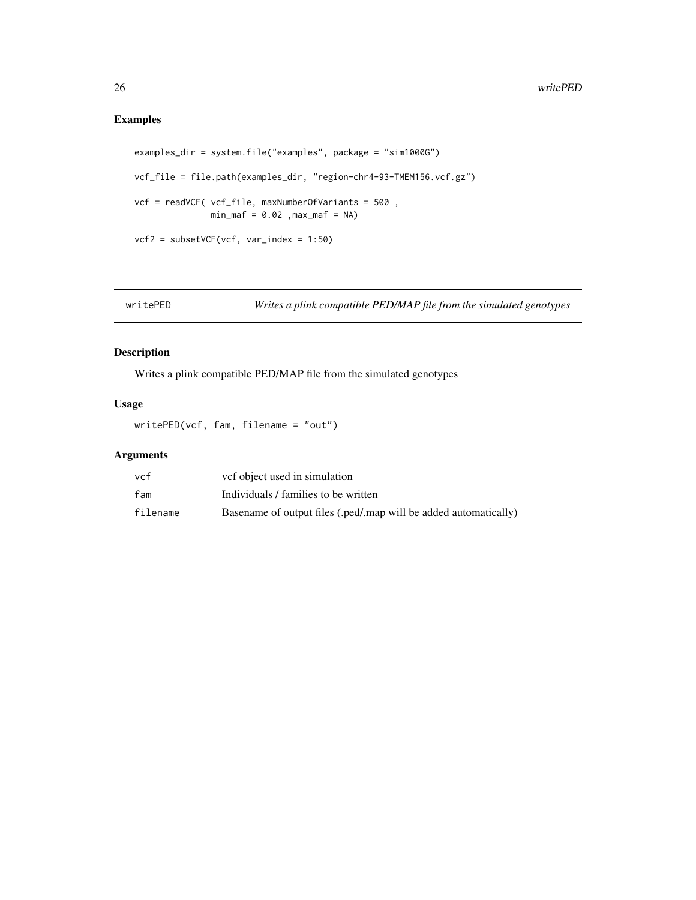# <span id="page-25-0"></span>Examples

```
examples_dir = system.file("examples", package = "sim1000G")
vcf_file = file.path(examples_dir, "region-chr4-93-TMEM156.vcf.gz")
vcf = readVCF( vcf_file, maxNumberOfVariants = 500 ,
              min\_maf = 0.02, max\_maf = NAvcf2 = subsetVCF(vcf, var_index = 1:50)
```
writePED *Writes a plink compatible PED/MAP file from the simulated genotypes*

#### Description

Writes a plink compatible PED/MAP file from the simulated genotypes

#### Usage

writePED(vcf, fam, filename = "out")

# Arguments

| vcf      | vef object used in simulation                                    |
|----------|------------------------------------------------------------------|
| fam      | Individuals / families to be written                             |
| filename | Basename of output files (.ped/.map will be added automatically) |